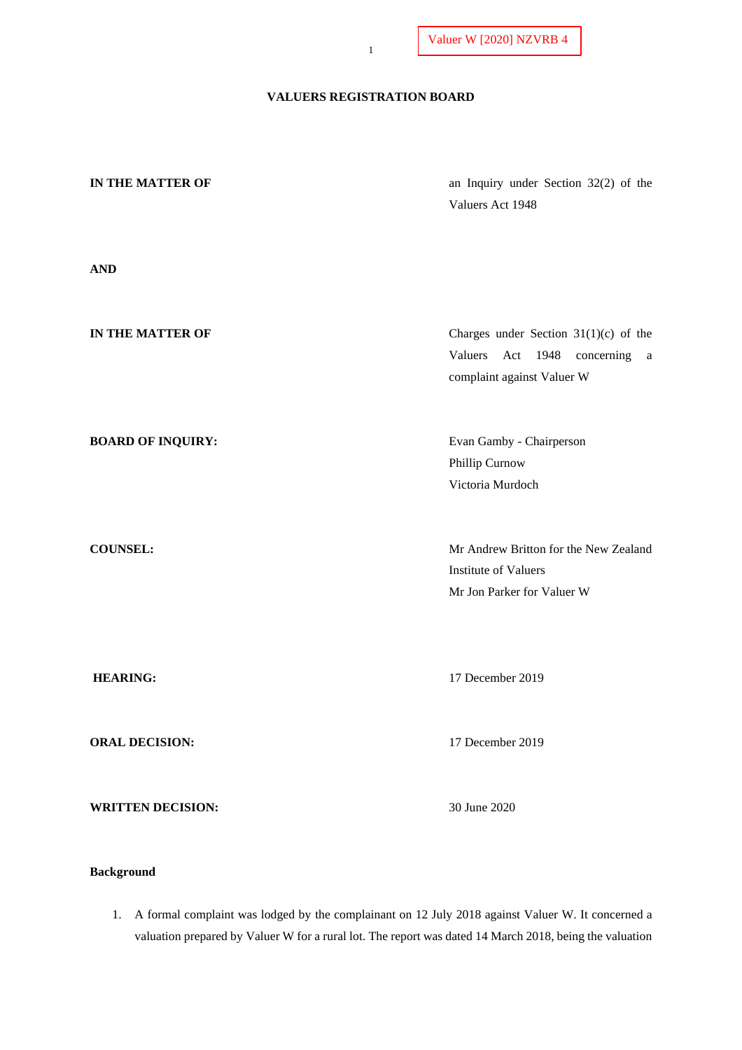# **VALUERS REGISTRATION BOARD**

| IN THE MATTER OF<br>$\bf AND$ | an Inquiry under Section 32(2) of the<br>Valuers Act 1948                                                 |
|-------------------------------|-----------------------------------------------------------------------------------------------------------|
| IN THE MATTER OF              | Charges under Section $31(1)(c)$ of the<br>Valuers Act 1948<br>concerning a<br>complaint against Valuer W |
| <b>BOARD OF INQUIRY:</b>      | Evan Gamby - Chairperson<br>Phillip Curnow<br>Victoria Murdoch                                            |
| <b>COUNSEL:</b>               | Mr Andrew Britton for the New Zealand<br><b>Institute of Valuers</b><br>Mr Jon Parker for Valuer W        |
| <b>HEARING:</b>               | 17 December 2019                                                                                          |
| <b>ORAL DECISION:</b>         | 17 December 2019                                                                                          |
| <b>WRITTEN DECISION:</b>      | 30 June 2020                                                                                              |

# **Background**

1. A formal complaint was lodged by the complainant on 12 July 2018 against Valuer W. It concerned a valuation prepared by Valuer W for a rural lot. The report was dated 14 March 2018, being the valuation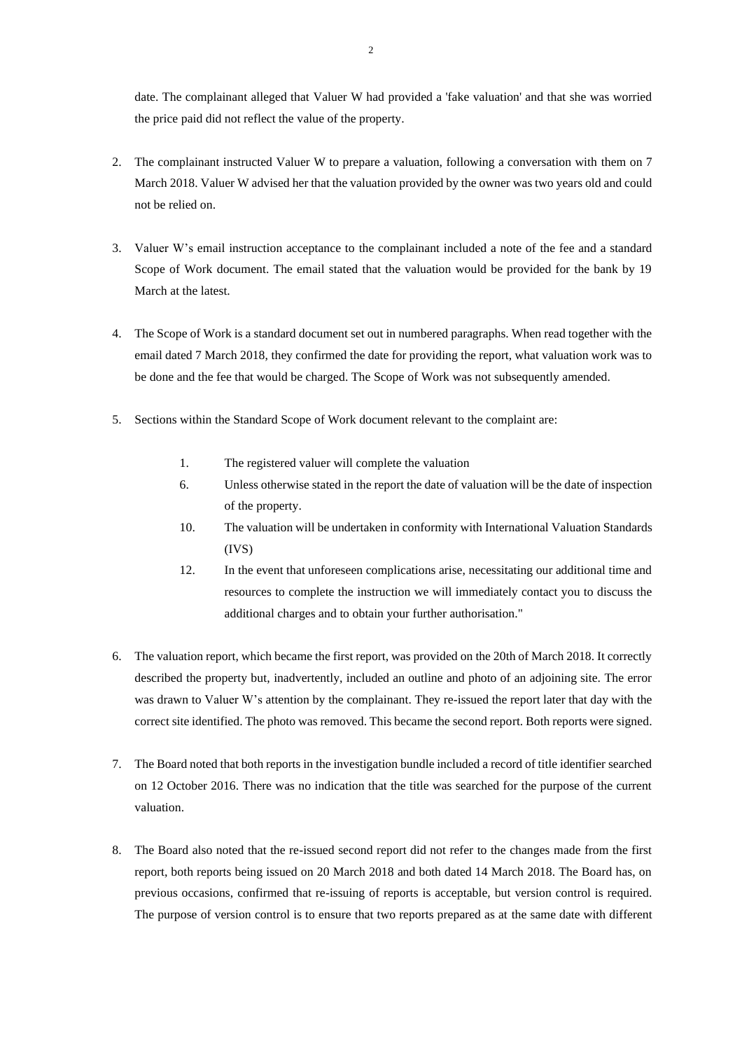date. The complainant alleged that Valuer W had provided a 'fake valuation' and that she was worried the price paid did not reflect the value of the property.

- 2. The complainant instructed Valuer W to prepare a valuation, following a conversation with them on 7 March 2018. Valuer W advised her that the valuation provided by the owner was two years old and could not be relied on.
- 3. Valuer W's email instruction acceptance to the complainant included a note of the fee and a standard Scope of Work document. The email stated that the valuation would be provided for the bank by 19 March at the latest.
- 4. The Scope of Work is a standard document set out in numbered paragraphs. When read together with the email dated 7 March 2018, they confirmed the date for providing the report, what valuation work was to be done and the fee that would be charged. The Scope of Work was not subsequently amended.
- 5. Sections within the Standard Scope of Work document relevant to the complaint are:
	- 1. The registered valuer will complete the valuation
	- 6. Unless otherwise stated in the report the date of valuation will be the date of inspection of the property.
	- 10. The valuation will be undertaken in conformity with International Valuation Standards (IVS)
	- 12. In the event that unforeseen complications arise, necessitating our additional time and resources to complete the instruction we will immediately contact you to discuss the additional charges and to obtain your further authorisation."
- 6. The valuation report, which became the first report, was provided on the 20th of March 2018. It correctly described the property but, inadvertently, included an outline and photo of an adjoining site. The error was drawn to Valuer W's attention by the complainant. They re-issued the report later that day with the correct site identified. The photo was removed. This became the second report. Both reports were signed.
- 7. The Board noted that both reports in the investigation bundle included a record of title identifier searched on 12 October 2016. There was no indication that the title was searched for the purpose of the current valuation.
- 8. The Board also noted that the re-issued second report did not refer to the changes made from the first report, both reports being issued on 20 March 2018 and both dated 14 March 2018. The Board has, on previous occasions, confirmed that re-issuing of reports is acceptable, but version control is required. The purpose of version control is to ensure that two reports prepared as at the same date with different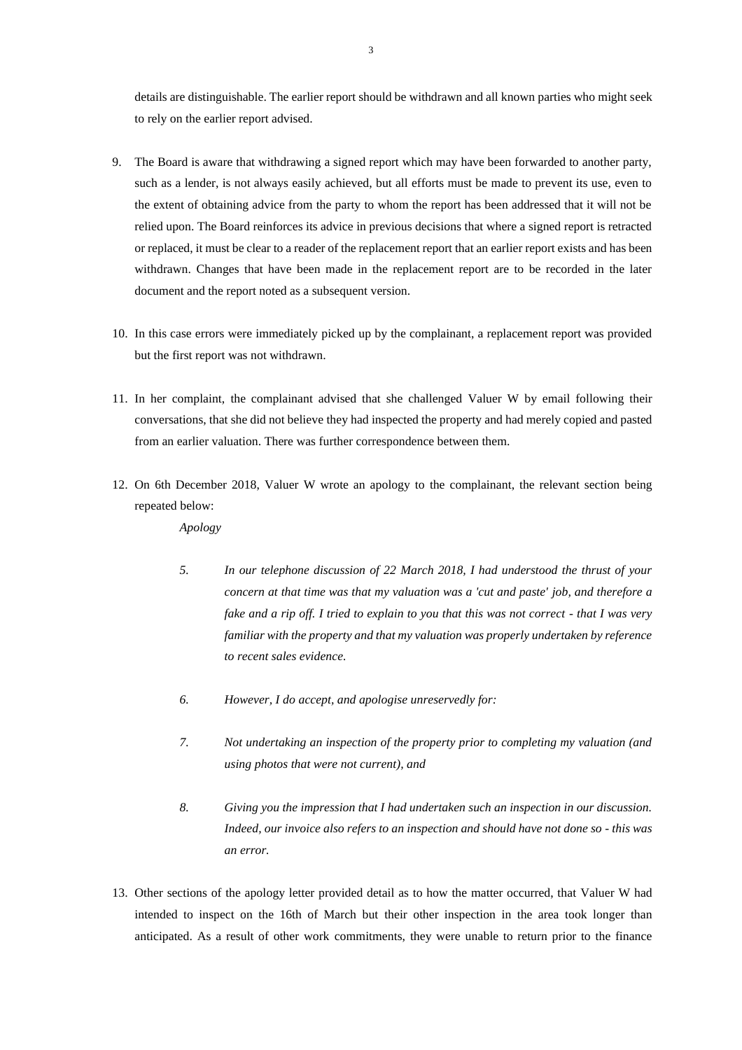details are distinguishable. The earlier report should be withdrawn and all known parties who might seek to rely on the earlier report advised.

- 9. The Board is aware that withdrawing a signed report which may have been forwarded to another party, such as a lender, is not always easily achieved, but all efforts must be made to prevent its use, even to the extent of obtaining advice from the party to whom the report has been addressed that it will not be relied upon. The Board reinforces its advice in previous decisions that where a signed report is retracted or replaced, it must be clear to a reader of the replacement report that an earlier report exists and has been withdrawn. Changes that have been made in the replacement report are to be recorded in the later document and the report noted as a subsequent version.
- 10. In this case errors were immediately picked up by the complainant, a replacement report was provided but the first report was not withdrawn.
- 11. In her complaint, the complainant advised that she challenged Valuer W by email following their conversations, that she did not believe they had inspected the property and had merely copied and pasted from an earlier valuation. There was further correspondence between them.
- 12. On 6th December 2018, Valuer W wrote an apology to the complainant, the relevant section being repeated below:

*Apology*

- *5. In our telephone discussion of 22 March 2018, I had understood the thrust of your concern at that time was that my valuation was a 'cut and paste' job, and therefore a fake and a rip off. I tried to explain to you that this was not correct - that I was very familiar with the property and that my valuation was properly undertaken by reference to recent sales evidence.*
- *6. However, I do accept, and apologise unreservedly for:*
- *7. Not undertaking an inspection of the property prior to completing my valuation (and using photos that were not current), and*
- *8. Giving you the impression that I had undertaken such an inspection in our discussion. Indeed, our invoice also refers to an inspection and should have not done so - this was an error.*
- 13. Other sections of the apology letter provided detail as to how the matter occurred, that Valuer W had intended to inspect on the 16th of March but their other inspection in the area took longer than anticipated. As a result of other work commitments, they were unable to return prior to the finance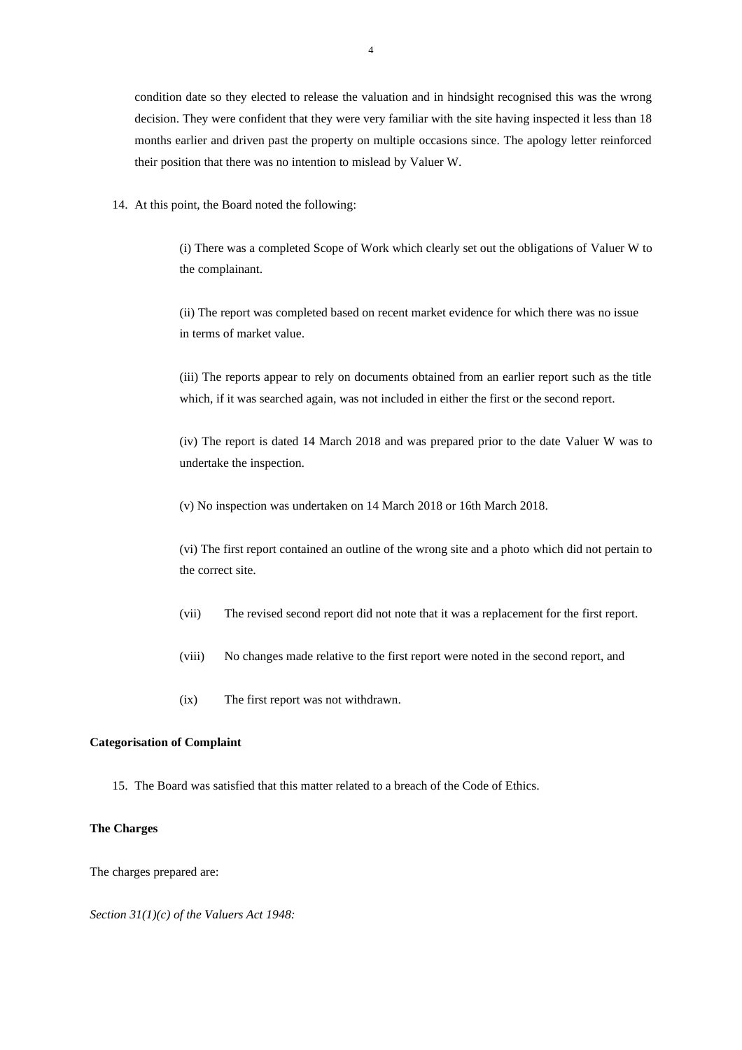condition date so they elected to release the valuation and in hindsight recognised this was the wrong decision. They were confident that they were very familiar with the site having inspected it less than 18 months earlier and driven past the property on multiple occasions since. The apology letter reinforced their position that there was no intention to mislead by Valuer W.

14. At this point, the Board noted the following:

(i) There was a completed Scope of Work which clearly set out the obligations of Valuer W to the complainant.

(ii) The report was completed based on recent market evidence for which there was no issue in terms of market value.

(iii) The reports appear to rely on documents obtained from an earlier report such as the title which, if it was searched again, was not included in either the first or the second report.

(iv) The report is dated 14 March 2018 and was prepared prior to the date Valuer W was to undertake the inspection.

(v) No inspection was undertaken on 14 March 2018 or 16th March 2018.

(vi) The first report contained an outline of the wrong site and a photo which did not pertain to the correct site.

- (vii) The revised second report did not note that it was a replacement for the first report.
- (viii) No changes made relative to the first report were noted in the second report, and
- (ix) The first report was not withdrawn.

# **Categorisation of Complaint**

15. The Board was satisfied that this matter related to a breach of the Code of Ethics.

# **The Charges**

The charges prepared are:

*Section 31(1)(c) of the Valuers Act 1948:*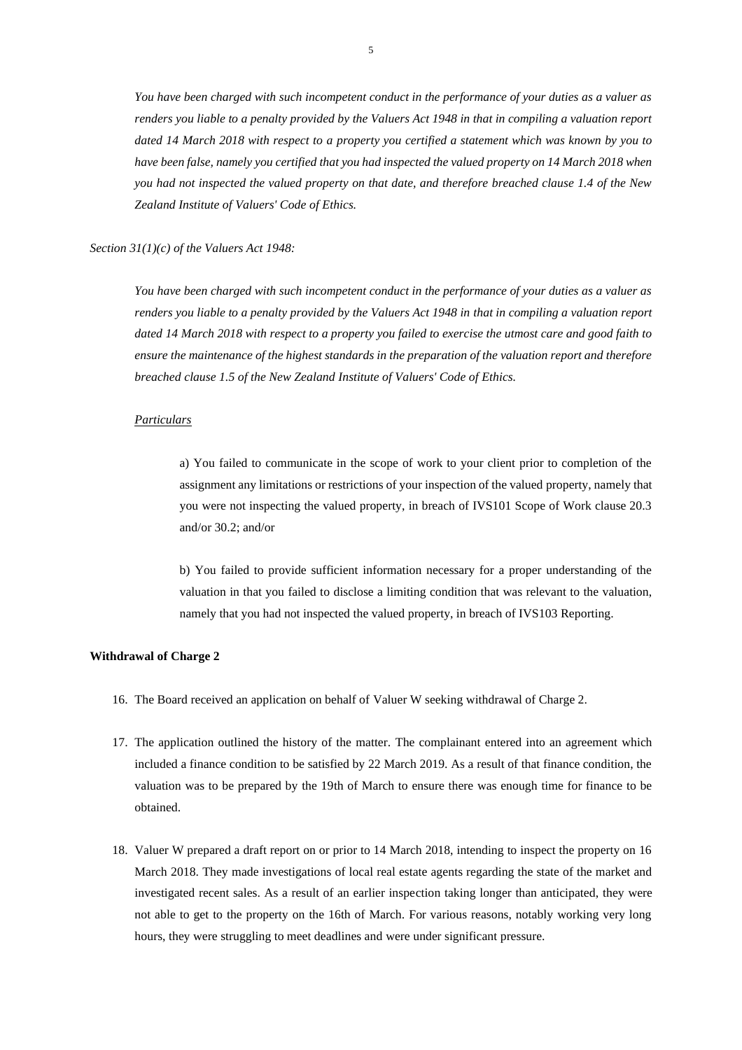*You have been charged with such incompetent conduct in the performance of your duties as a valuer as renders you liable to a penalty provided by the Valuers Act 1948 in that in compiling a valuation report dated 14 March 2018 with respect to a property you certified a statement which was known by you to have been false, namely you certified that you had inspected the valued property on 14 March 2018 when you had not inspected the valued property on that date, and therefore breached clause 1.4 of the New Zealand Institute of Valuers' Code of Ethics.*

*Section 31(1)(c) of the Valuers Act 1948:*

*You have been charged with such incompetent conduct in the performance of your duties as a valuer as renders you liable to a penalty provided by the Valuers Act 1948 in that in compiling a valuation report dated 14 March 2018 with respect to a property you failed to exercise the utmost care and good faith to ensure the maintenance of the highest standards in the preparation of the valuation report and therefore breached clause 1.5 of the New Zealand Institute of Valuers' Code of Ethics.*

## *Particulars*

a) You failed to communicate in the scope of work to your client prior to completion of the assignment any limitations or restrictions of your inspection of the valued property, namely that you were not inspecting the valued property, in breach of IVS101 Scope of Work clause 20.3 and/or 30.2; and/or

b) You failed to provide sufficient information necessary for a proper understanding of the valuation in that you failed to disclose a limiting condition that was relevant to the valuation, namely that you had not inspected the valued property, in breach of IVS103 Reporting.

### **Withdrawal of Charge 2**

- 16. The Board received an application on behalf of Valuer W seeking withdrawal of Charge 2.
- 17. The application outlined the history of the matter. The complainant entered into an agreement which included a finance condition to be satisfied by 22 March 2019. As a result of that finance condition, the valuation was to be prepared by the 19th of March to ensure there was enough time for finance to be obtained.
- 18. Valuer W prepared a draft report on or prior to 14 March 2018, intending to inspect the property on 16 March 2018. They made investigations of local real estate agents regarding the state of the market and investigated recent sales. As a result of an earlier inspection taking longer than anticipated, they were not able to get to the property on the 16th of March. For various reasons, notably working very long hours, they were struggling to meet deadlines and were under significant pressure.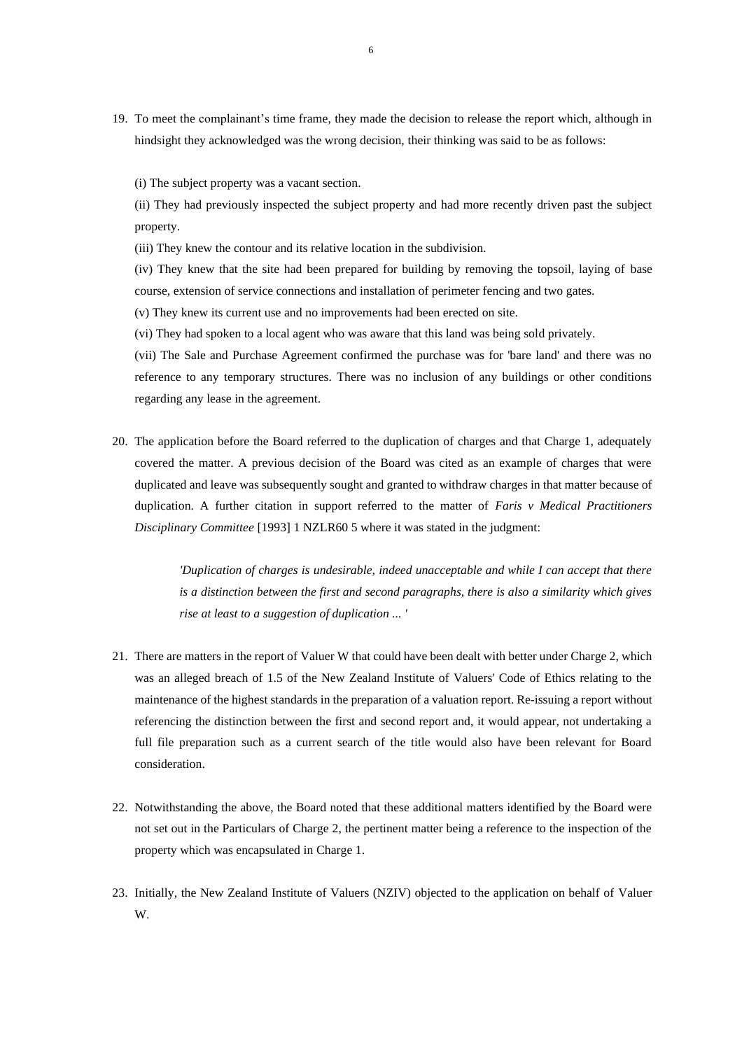19. To meet the complainant's time frame, they made the decision to release the report which, although in hindsight they acknowledged was the wrong decision, their thinking was said to be as follows:

(i) The subject property was a vacant section.

(ii) They had previously inspected the subject property and had more recently driven past the subject property.

(iii) They knew the contour and its relative location in the subdivision.

(iv) They knew that the site had been prepared for building by removing the topsoil, laying of base course, extension of service connections and installation of perimeter fencing and two gates.

(v) They knew its current use and no improvements had been erected on site.

(vi) They had spoken to a local agent who was aware that this land was being sold privately.

(vii) The Sale and Purchase Agreement confirmed the purchase was for 'bare land' and there was no reference to any temporary structures. There was no inclusion of any buildings or other conditions regarding any lease in the agreement.

20. The application before the Board referred to the duplication of charges and that Charge 1, adequately covered the matter. A previous decision of the Board was cited as an example of charges that were duplicated and leave was subsequently sought and granted to withdraw charges in that matter because of duplication. A further citation in support referred to the matter of *Faris v Medical Practitioners Disciplinary Committee* [1993] 1 NZLR60 5 where it was stated in the judgment:

> *'Duplication of charges is undesirable, indeed unacceptable and while I can accept that there is a distinction between the first and second paragraphs, there is also a similarity which gives rise at least to a suggestion of duplication ... '*

- 21. There are matters in the report of Valuer W that could have been dealt with better under Charge 2, which was an alleged breach of 1.5 of the New Zealand Institute of Valuers' Code of Ethics relating to the maintenance of the highest standards in the preparation of a valuation report. Re-issuing a report without referencing the distinction between the first and second report and, it would appear, not undertaking a full file preparation such as a current search of the title would also have been relevant for Board consideration.
- 22. Notwithstanding the above, the Board noted that these additional matters identified by the Board were not set out in the Particulars of Charge 2, the pertinent matter being a reference to the inspection of the property which was encapsulated in Charge 1.
- 23. Initially, the New Zealand Institute of Valuers (NZIV) objected to the application on behalf of Valuer W.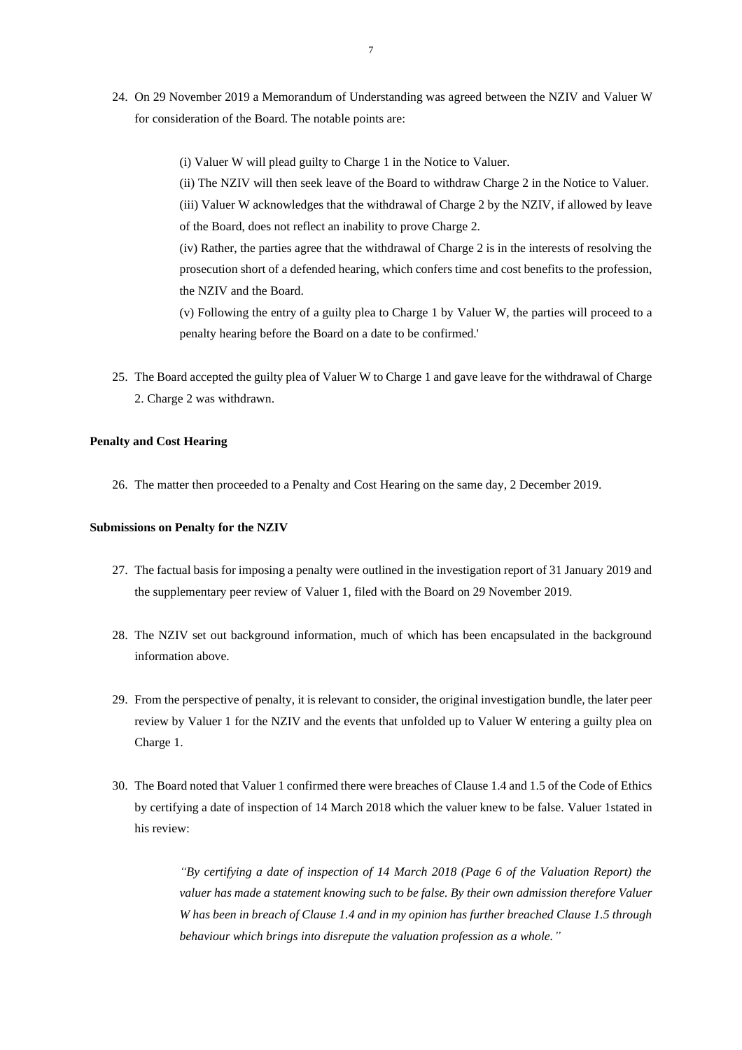24. On 29 November 2019 a Memorandum of Understanding was agreed between the NZIV and Valuer W for consideration of the Board. The notable points are:

(i) Valuer W will plead guilty to Charge 1 in the Notice to Valuer.

(ii) The NZIV will then seek leave of the Board to withdraw Charge 2 in the Notice to Valuer. (iii) Valuer W acknowledges that the withdrawal of Charge 2 by the NZIV, if allowed by leave of the Board, does not reflect an inability to prove Charge 2.

(iv) Rather, the parties agree that the withdrawal of Charge 2 is in the interests of resolving the prosecution short of a defended hearing, which confers time and cost benefits to the profession, the NZIV and the Board.

(v) Following the entry of a guilty plea to Charge 1 by Valuer W, the parties will proceed to a penalty hearing before the Board on a date to be confirmed.'

25. The Board accepted the guilty plea of Valuer W to Charge 1 and gave leave for the withdrawal of Charge 2. Charge 2 was withdrawn.

# **Penalty and Cost Hearing**

26. The matter then proceeded to a Penalty and Cost Hearing on the same day, 2 December 2019.

#### **Submissions on Penalty for the NZIV**

- 27. The factual basis for imposing a penalty were outlined in the investigation report of 31 January 2019 and the supplementary peer review of Valuer 1, filed with the Board on 29 November 2019.
- 28. The NZIV set out background information, much of which has been encapsulated in the background information above.
- 29. From the perspective of penalty, it is relevant to consider, the original investigation bundle, the later peer review by Valuer 1 for the NZIV and the events that unfolded up to Valuer W entering a guilty plea on Charge 1.
- 30. The Board noted that Valuer 1 confirmed there were breaches of Clause 1.4 and 1.5 of the Code of Ethics by certifying a date of inspection of 14 March 2018 which the valuer knew to be false. Valuer 1stated in his review:

*"By certifying a date of inspection of 14 March 2018 (Page 6 of the Valuation Report) the valuer has made a statement knowing such to be false. By their own admission therefore Valuer W has been in breach of Clause 1.4 and in my opinion has further breached Clause 1.5 through behaviour which brings into disrepute the valuation profession as a whole."*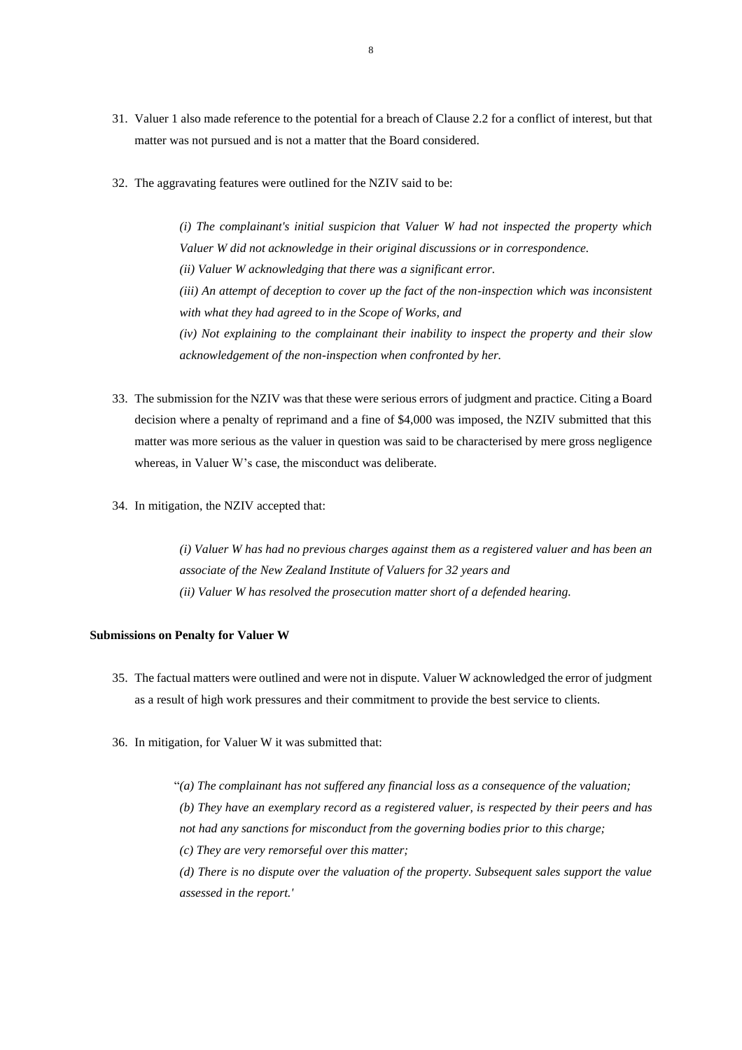- 31. Valuer 1 also made reference to the potential for a breach of Clause 2.2 for a conflict of interest, but that matter was not pursued and is not a matter that the Board considered.
- 32. The aggravating features were outlined for the NZIV said to be:

*(i) The complainant's initial suspicion that Valuer W had not inspected the property which Valuer W did not acknowledge in their original discussions or in correspondence. (ii) Valuer W acknowledging that there was a significant error. (iii) An attempt of deception to cover up the fact of the non-inspection which was inconsistent with what they had agreed to in the Scope of Works, and (iv) Not explaining to the complainant their inability to inspect the property and their slow acknowledgement of the non-inspection when confronted by her.*

- 33. The submission for the NZIV was that these were serious errors of judgment and practice. Citing a Board decision where a penalty of reprimand and a fine of \$4,000 was imposed, the NZIV submitted that this matter was more serious as the valuer in question was said to be characterised by mere gross negligence whereas, in Valuer W's case, the misconduct was deliberate.
- 34. In mitigation, the NZIV accepted that:

*(i) Valuer W has had no previous charges against them as a registered valuer and has been an associate of the New Zealand Institute of Valuers for 32 years and (ii) Valuer W has resolved the prosecution matter short of a defended hearing.*

### **Submissions on Penalty for Valuer W**

- 35. The factual matters were outlined and were not in dispute. Valuer W acknowledged the error of judgment as a result of high work pressures and their commitment to provide the best service to clients.
- 36. In mitigation, for Valuer W it was submitted that:

 "*(a) The complainant has not suffered any financial loss as a consequence of the valuation; (b) They have an exemplary record as a registered valuer, is respected by their peers and has not had any sanctions for misconduct from the governing bodies prior to this charge; (c) They are very remorseful over this matter; (d) There is no dispute over the valuation of the property. Subsequent sales support the value assessed in the report.'*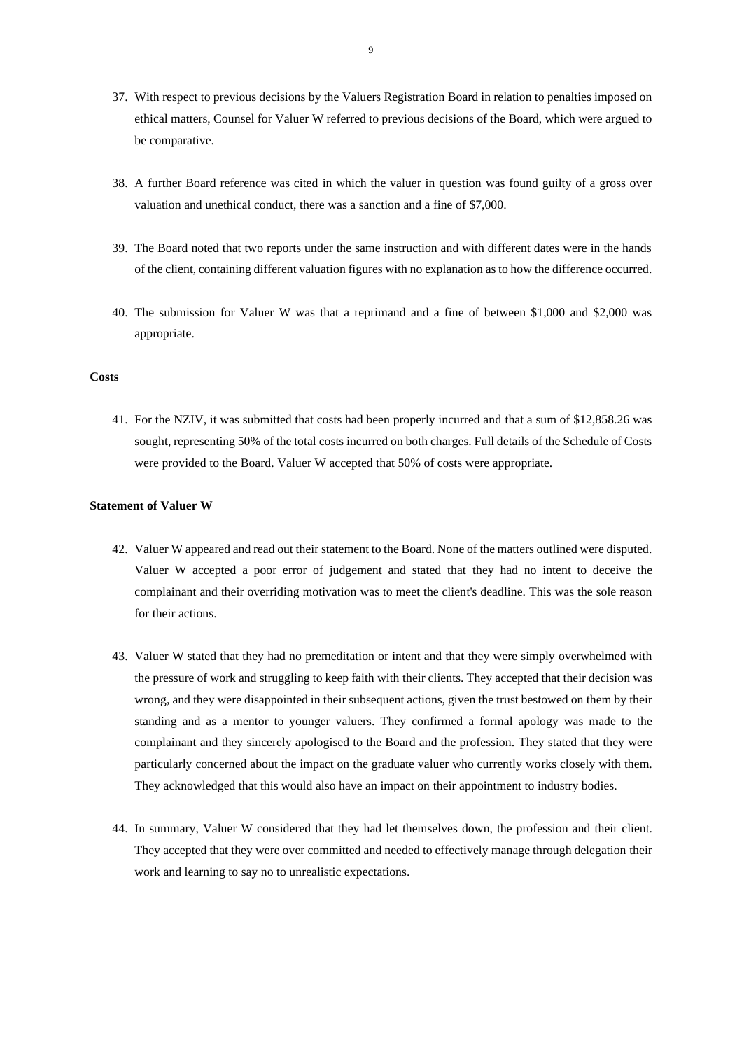- 37. With respect to previous decisions by the Valuers Registration Board in relation to penalties imposed on ethical matters, Counsel for Valuer W referred to previous decisions of the Board, which were argued to be comparative.
- 38. A further Board reference was cited in which the valuer in question was found guilty of a gross over valuation and unethical conduct, there was a sanction and a fine of \$7,000.
- 39. The Board noted that two reports under the same instruction and with different dates were in the hands of the client, containing different valuation figures with no explanation as to how the difference occurred.
- 40. The submission for Valuer W was that a reprimand and a fine of between \$1,000 and \$2,000 was appropriate.

#### **Costs**

41. For the NZIV, it was submitted that costs had been properly incurred and that a sum of \$12,858.26 was sought, representing 50% of the total costs incurred on both charges. Full details of the Schedule of Costs were provided to the Board. Valuer W accepted that 50% of costs were appropriate.

### **Statement of Valuer W**

- 42. Valuer W appeared and read out their statement to the Board. None of the matters outlined were disputed. Valuer W accepted a poor error of judgement and stated that they had no intent to deceive the complainant and their overriding motivation was to meet the client's deadline. This was the sole reason for their actions.
- 43. Valuer W stated that they had no premeditation or intent and that they were simply overwhelmed with the pressure of work and struggling to keep faith with their clients. They accepted that their decision was wrong, and they were disappointed in their subsequent actions, given the trust bestowed on them by their standing and as a mentor to younger valuers. They confirmed a formal apology was made to the complainant and they sincerely apologised to the Board and the profession. They stated that they were particularly concerned about the impact on the graduate valuer who currently works closely with them. They acknowledged that this would also have an impact on their appointment to industry bodies.
- 44. In summary, Valuer W considered that they had let themselves down, the profession and their client. They accepted that they were over committed and needed to effectively manage through delegation their work and learning to say no to unrealistic expectations.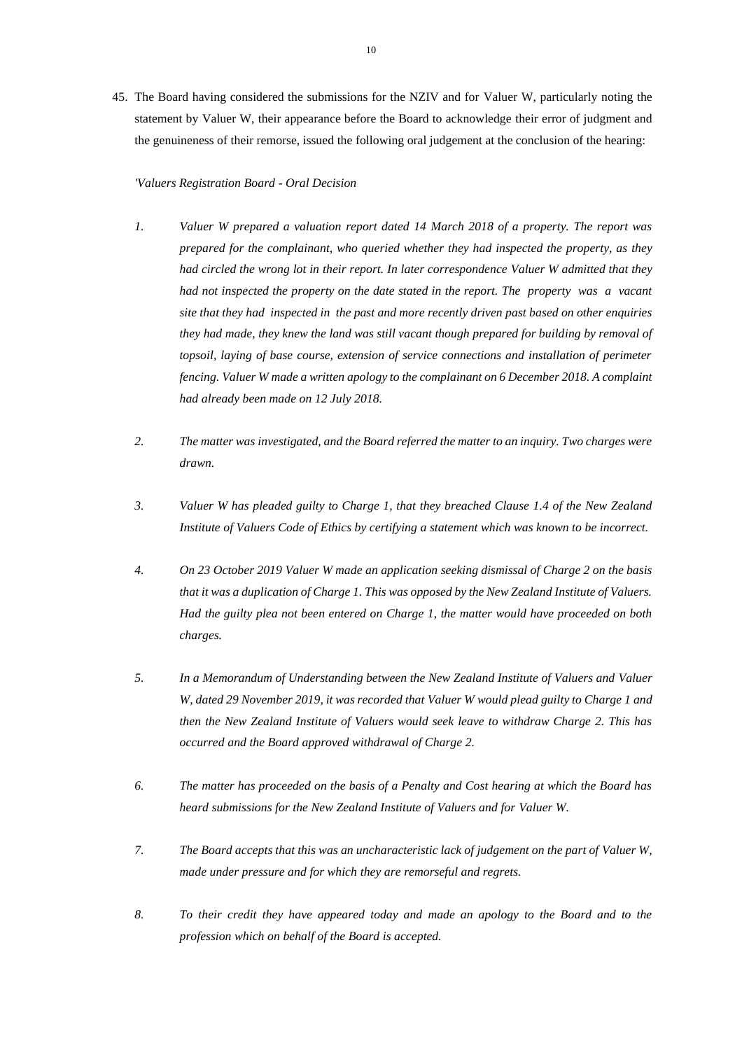45. The Board having considered the submissions for the NZIV and for Valuer W, particularly noting the statement by Valuer W, their appearance before the Board to acknowledge their error of judgment and the genuineness of their remorse, issued the following oral judgement at the conclusion of the hearing:

## *'Valuers Registration Board - Oral Decision*

- *1. Valuer W prepared a valuation report dated 14 March 2018 of a property. The report was prepared for the complainant, who queried whether they had inspected the property, as they had circled the wrong lot in their report. In later correspondence Valuer W admitted that they had not inspected the property on the date stated in the report. The property was a vacant site that they had inspected in the past and more recently driven past based on other enquiries they had made, they knew the land was still vacant though prepared for building by removal of topsoil, laying of base course, extension of service connections and installation of perimeter fencing. Valuer W made a written apology to the complainant on 6 December 2018. A complaint had already been made on 12 July 2018.*
- *2. The matter was investigated, and the Board referred the matter to an inquiry. Two charges were drawn.*
- *3. Valuer W has pleaded guilty to Charge 1, that they breached Clause 1.4 of the New Zealand Institute of Valuers Code of Ethics by certifying a statement which was known to be incorrect.*
- *4. On 23 October 2019 Valuer W made an application seeking dismissal of Charge 2 on the basis that it was a duplication of Charge 1. This was opposed by the New Zealand Institute of Valuers. Had the guilty plea not been entered on Charge 1, the matter would have proceeded on both charges.*
- *5. In a Memorandum of Understanding between the New Zealand Institute of Valuers and Valuer W, dated 29 November 2019, it was recorded that Valuer W would plead guilty to Charge 1 and then the New Zealand Institute of Valuers would seek leave to withdraw Charge 2. This has occurred and the Board approved withdrawal of Charge 2.*
- *6. The matter has proceeded on the basis of a Penalty and Cost hearing at which the Board has heard submissions for the New Zealand Institute of Valuers and for Valuer W.*
- *7. The Board accepts that this was an uncharacteristic lack of judgement on the part of Valuer W, made under pressure and for which they are remorseful and regrets.*
- *8. To their credit they have appeared today and made an apology to the Board and to the profession which on behalf of the Board is accepted.*